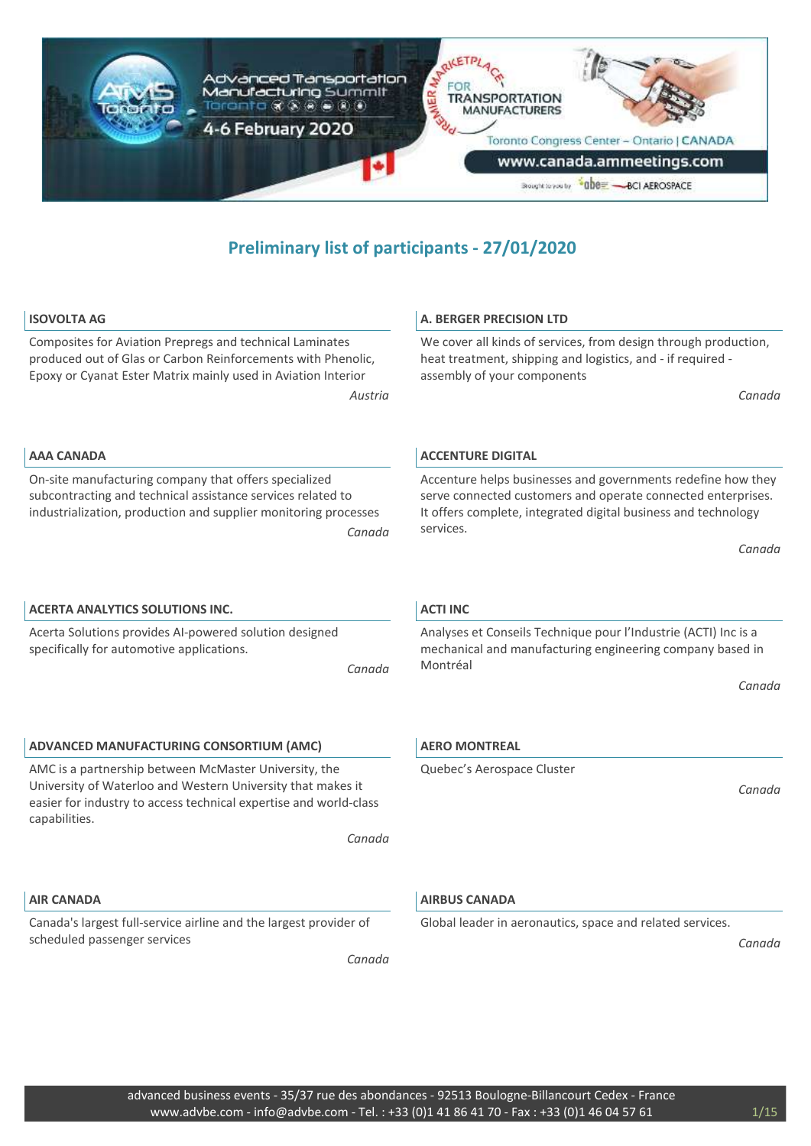

*Austria*

*Canada*

*Canada*

#### **ISOVOLTA AG**

**AAA CANADA**

capabilities.

**AIR CANADA**

scheduled passenger services

Composites for Aviation Prepregs and technical Laminates produced out of Glas or Carbon Reinforcements with Phenolic, Epoxy or Cyanat Ester Matrix mainly used in Aviation Interior

On-site manufacturing company that offers specialized subcontracting and technical assistance services related to industrialization, production and supplier monitoring processes

Acerta Solutions provides AI-powered solution designed

**ADVANCED MANUFACTURING CONSORTIUM (AMC)** AMC is a partnership between McMaster University, the University of Waterloo and Western University that makes it easier for industry to access technical expertise and world-class

**ACERTA ANALYTICS SOLUTIONS INC.**

specifically for automotive applications.

#### **A. BERGER PRECISION LTD**

We cover all kinds of services, from design through production, heat treatment, shipping and logistics, and - if required assembly of your components

*Canada*

#### **ACCENTURE DIGITAL**

Accenture helps businesses and governments redefine how they serve connected customers and operate connected enterprises. It offers complete, integrated digital business and technology services.

*Canada*

#### **ACTI INC**

Analyses et Conseils Technique pour l'Industrie (ACTI) Inc is a mechanical and manufacturing engineering company based in Montréal

*Canada*

#### **AERO MONTREAL**

Quebec's Aerospace Cluster

*Canada*

#### **AIRBUS CANADA**

Global leader in aeronautics, space and related services.

*Canada*

# Canada's largest full-service airline and the largest provider of

*Canada*

*Canada*

## advanced business events - 35/37 rue des abondances - 92513 Boulogne-Billancourt Cedex - France www.advbe.com - info@advbe.com - Tel. : +33 (0)1 41 86 41 70 - Fax : +33 (0)1 46 04 57 61 1/15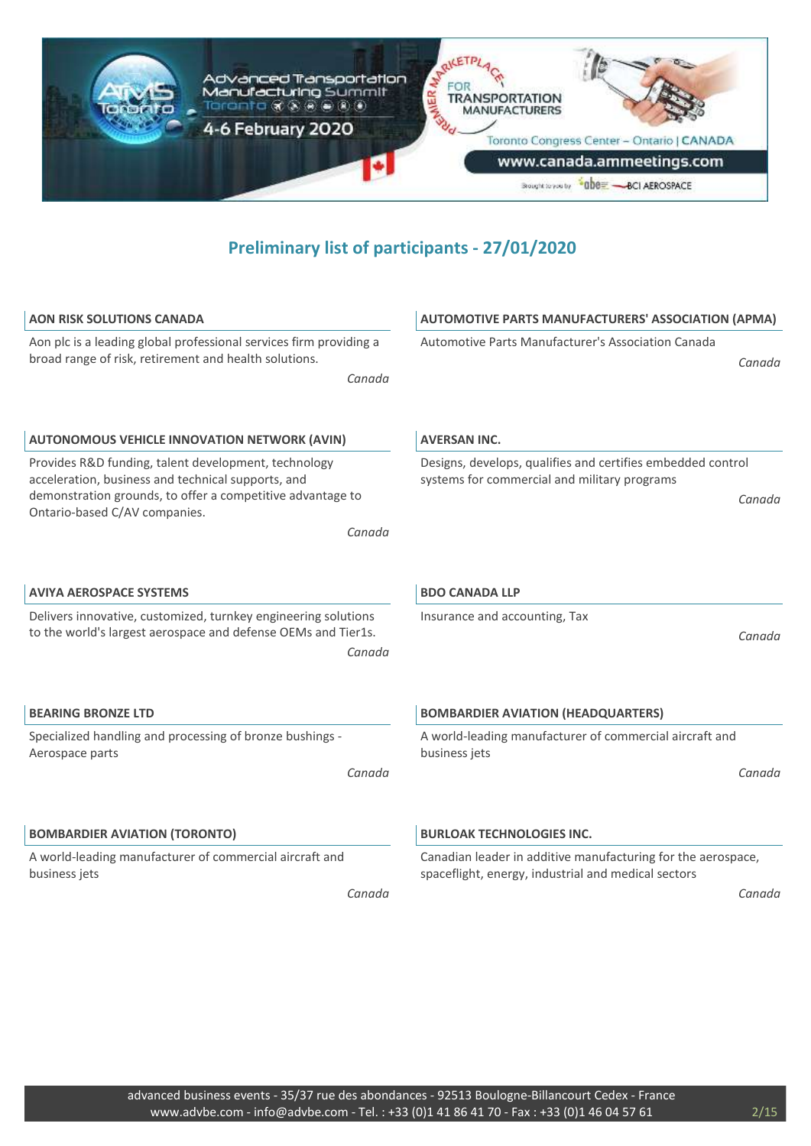

| <b>AON RISK SOLUTIONS CANADA</b>                                                                                                                                                                                    | <b>AUTOMOTIVE PARTS MANUFACTURERS' ASSOCIATION (APMA)</b>                                                             |
|---------------------------------------------------------------------------------------------------------------------------------------------------------------------------------------------------------------------|-----------------------------------------------------------------------------------------------------------------------|
| Aon plc is a leading global professional services firm providing a<br>broad range of risk, retirement and health solutions.<br>Canada                                                                               | Automotive Parts Manufacturer's Association Canada<br>Canada                                                          |
| <b>AUTONOMOUS VEHICLE INNOVATION NETWORK (AVIN)</b>                                                                                                                                                                 | <b>AVERSAN INC.</b>                                                                                                   |
| Provides R&D funding, talent development, technology<br>acceleration, business and technical supports, and<br>demonstration grounds, to offer a competitive advantage to<br>Ontario-based C/AV companies.<br>Canada | Designs, develops, qualifies and certifies embedded control<br>systems for commercial and military programs<br>Canada |
| <b>AVIYA AEROSPACE SYSTEMS</b>                                                                                                                                                                                      | <b>BDO CANADA LLP</b>                                                                                                 |
| Delivers innovative, customized, turnkey engineering solutions<br>to the world's largest aerospace and defense OEMs and Tier1s.<br>Canada                                                                           | Insurance and accounting, Tax<br>Canada                                                                               |
| <b>BEARING BRONZE LTD</b>                                                                                                                                                                                           | <b>BOMBARDIER AVIATION (HEADQUARTERS)</b>                                                                             |
| Specialized handling and processing of bronze bushings -<br>Aerospace parts<br>Canada                                                                                                                               | A world-leading manufacturer of commercial aircraft and<br>business jets<br>Canada                                    |
| <b>BOMBARDIER AVIATION (TORONTO)</b>                                                                                                                                                                                | <b>BURLOAK TECHNOLOGIES INC.</b>                                                                                      |
| A world-leading manufacturer of commercial aircraft and<br>business jets                                                                                                                                            | Canadian leader in additive manufacturing for the aerospace,<br>spaceflight, energy, industrial and medical sectors   |
| Canada                                                                                                                                                                                                              | Canada                                                                                                                |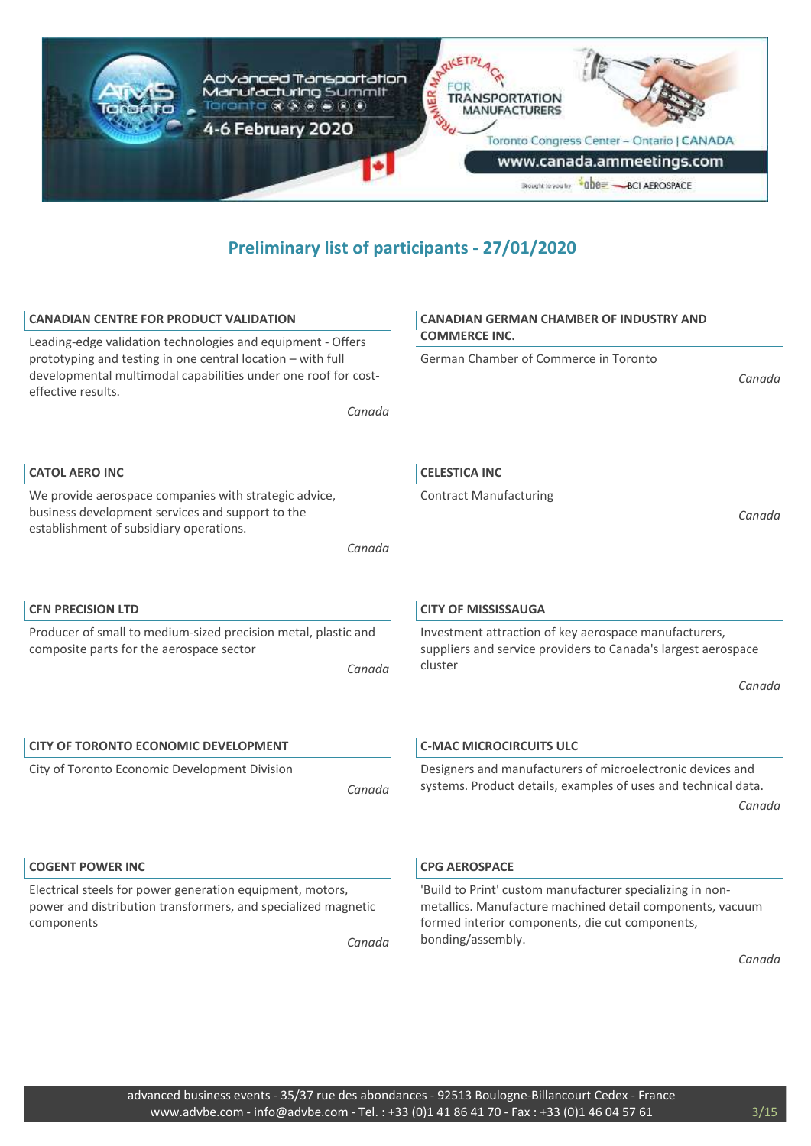

| <b>CANADIAN CENTRE FOR PRODUCT VALIDATION</b>                                                                                                                                                                                | <b>CANADIAN GERMAN CHAMBER OF INDUSTRY AND</b><br><b>COMMERCE INC.</b>                                                                                                    |
|------------------------------------------------------------------------------------------------------------------------------------------------------------------------------------------------------------------------------|---------------------------------------------------------------------------------------------------------------------------------------------------------------------------|
| Leading-edge validation technologies and equipment - Offers<br>prototyping and testing in one central location - with full<br>developmental multimodal capabilities under one roof for cost-<br>effective results.<br>Canada | German Chamber of Commerce in Toronto<br>Canada                                                                                                                           |
| <b>CATOL AERO INC</b>                                                                                                                                                                                                        | <b>CELESTICA INC</b>                                                                                                                                                      |
| We provide aerospace companies with strategic advice,<br>business development services and support to the<br>establishment of subsidiary operations.                                                                         | <b>Contract Manufacturing</b><br>Canada                                                                                                                                   |
| Canada                                                                                                                                                                                                                       |                                                                                                                                                                           |
| <b>CFN PRECISION LTD</b>                                                                                                                                                                                                     | <b>CITY OF MISSISSAUGA</b>                                                                                                                                                |
| Producer of small to medium-sized precision metal, plastic and<br>composite parts for the aerospace sector<br>Canada                                                                                                         | Investment attraction of key aerospace manufacturers,<br>suppliers and service providers to Canada's largest aerospace<br>cluster                                         |
|                                                                                                                                                                                                                              | Canada                                                                                                                                                                    |
| <b>CITY OF TORONTO ECONOMIC DEVELOPMENT</b>                                                                                                                                                                                  | <b>C-MAC MICROCIRCUITS ULC</b>                                                                                                                                            |
| City of Toronto Economic Development Division<br>Canada                                                                                                                                                                      | Designers and manufacturers of microelectronic devices and<br>systems. Product details, examples of uses and technical data.                                              |
|                                                                                                                                                                                                                              | Canada                                                                                                                                                                    |
| <b>COGENT POWER INC</b>                                                                                                                                                                                                      | <b>CPG AEROSPACE</b>                                                                                                                                                      |
| Electrical steels for power generation equipment, motors,<br>power and distribution transformers, and specialized magnetic<br>components                                                                                     | 'Build to Print' custom manufacturer specializing in non-<br>metallics. Manufacture machined detail components, vacuum<br>formed interior components, die cut components, |
| Canada                                                                                                                                                                                                                       | bonding/assembly.                                                                                                                                                         |
|                                                                                                                                                                                                                              | Canada                                                                                                                                                                    |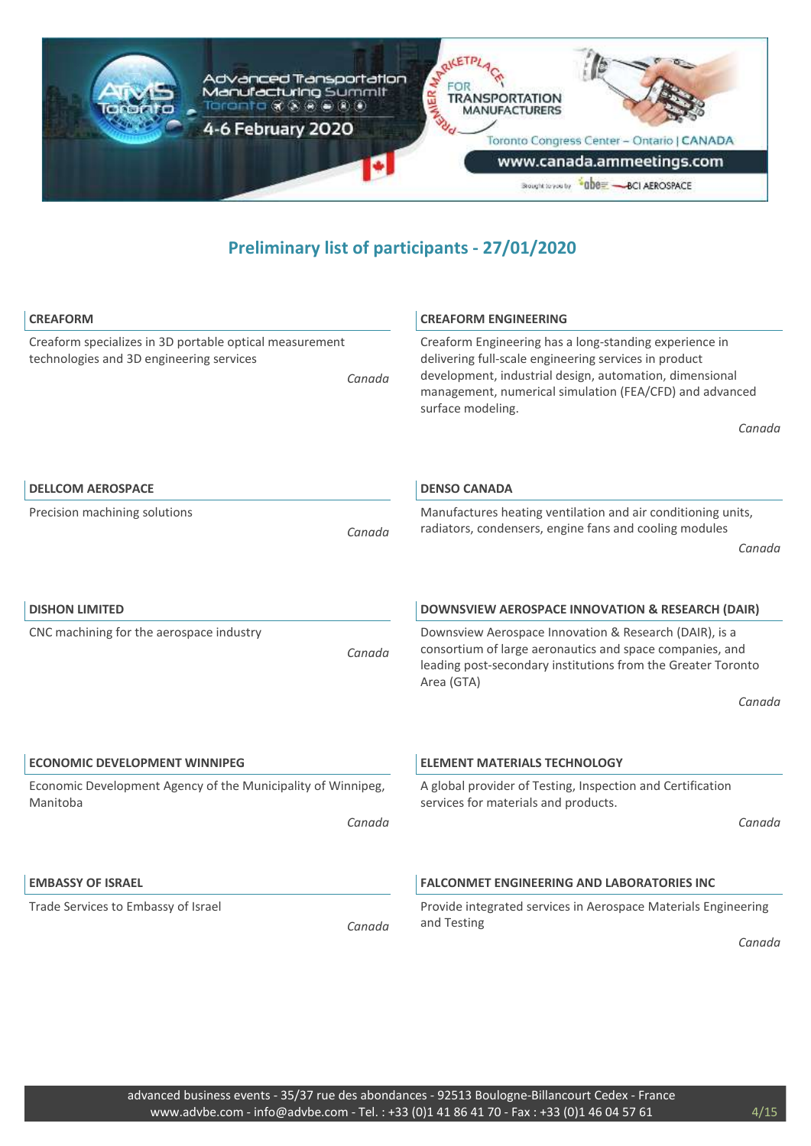

| <b>CREAFORM</b>                                                                                               | <b>CREAFORM ENGINEERING</b>                                                                                                                                                                                                                                |
|---------------------------------------------------------------------------------------------------------------|------------------------------------------------------------------------------------------------------------------------------------------------------------------------------------------------------------------------------------------------------------|
| Creaform specializes in 3D portable optical measurement<br>technologies and 3D engineering services<br>Canada | Creaform Engineering has a long-standing experience in<br>delivering full-scale engineering services in product<br>development, industrial design, automation, dimensional<br>management, numerical simulation (FEA/CFD) and advanced<br>surface modeling. |
|                                                                                                               | Canada                                                                                                                                                                                                                                                     |
| <b>DELLCOM AEROSPACE</b>                                                                                      | <b>DENSO CANADA</b>                                                                                                                                                                                                                                        |
|                                                                                                               |                                                                                                                                                                                                                                                            |
| Precision machining solutions<br>Canada                                                                       | Manufactures heating ventilation and air conditioning units,<br>radiators, condensers, engine fans and cooling modules                                                                                                                                     |
|                                                                                                               | Canada                                                                                                                                                                                                                                                     |
|                                                                                                               |                                                                                                                                                                                                                                                            |
| <b>DISHON LIMITED</b>                                                                                         | DOWNSVIEW AEROSPACE INNOVATION & RESEARCH (DAIR)                                                                                                                                                                                                           |
| CNC machining for the aerospace industry<br>Canada                                                            | Downsview Aerospace Innovation & Research (DAIR), is a<br>consortium of large aeronautics and space companies, and<br>leading post-secondary institutions from the Greater Toronto<br>Area (GTA)                                                           |
|                                                                                                               | Canada                                                                                                                                                                                                                                                     |
|                                                                                                               |                                                                                                                                                                                                                                                            |
| <b>ECONOMIC DEVELOPMENT WINNIPEG</b>                                                                          | <b>ELEMENT MATERIALS TECHNOLOGY</b>                                                                                                                                                                                                                        |
| Economic Development Agency of the Municipality of Winnipeg,<br>Manitoba                                      | A global provider of Testing, Inspection and Certification<br>services for materials and products.                                                                                                                                                         |
| Canada                                                                                                        | Canada                                                                                                                                                                                                                                                     |
|                                                                                                               |                                                                                                                                                                                                                                                            |
| <b>EMBASSY OF ISRAEL</b>                                                                                      | <b>FALCONMET ENGINEERING AND LABORATORIES INC</b>                                                                                                                                                                                                          |
| Trade Services to Embassy of Israel                                                                           | Provide integrated services in Aerospace Materials Engineering                                                                                                                                                                                             |
| Canada                                                                                                        | and Testing                                                                                                                                                                                                                                                |
|                                                                                                               | Canada                                                                                                                                                                                                                                                     |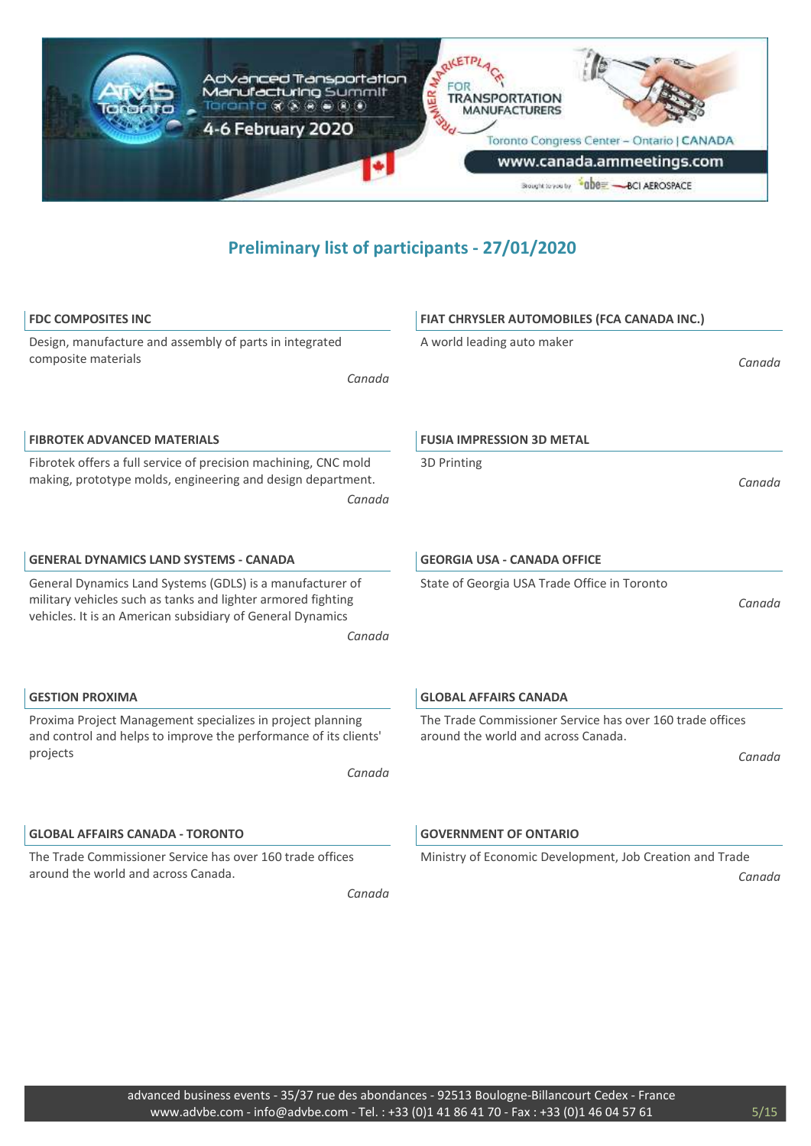

| <b>FDC COMPOSITES INC</b>                                                                                                                                                                         | FIAT CHRYSLER AUTOMOBILES (FCA CANADA INC.)                                                                |
|---------------------------------------------------------------------------------------------------------------------------------------------------------------------------------------------------|------------------------------------------------------------------------------------------------------------|
| Design, manufacture and assembly of parts in integrated<br>composite materials<br>Canada                                                                                                          | A world leading auto maker<br>Canada                                                                       |
| <b>FIBROTEK ADVANCED MATERIALS</b>                                                                                                                                                                | <b>FUSIA IMPRESSION 3D METAL</b>                                                                           |
| Fibrotek offers a full service of precision machining, CNC mold<br>making, prototype molds, engineering and design department.<br>Canada                                                          | 3D Printing<br>Canada                                                                                      |
| <b>GENERAL DYNAMICS LAND SYSTEMS - CANADA</b>                                                                                                                                                     | <b>GEORGIA USA - CANADA OFFICE</b>                                                                         |
| General Dynamics Land Systems (GDLS) is a manufacturer of<br>military vehicles such as tanks and lighter armored fighting<br>vehicles. It is an American subsidiary of General Dynamics<br>Canada | State of Georgia USA Trade Office in Toronto<br>Canada                                                     |
| <b>GESTION PROXIMA</b>                                                                                                                                                                            | <b>GLOBAL AFFAIRS CANADA</b>                                                                               |
| Proxima Project Management specializes in project planning<br>and control and helps to improve the performance of its clients'<br>projects<br>Canada                                              | The Trade Commissioner Service has over 160 trade offices<br>around the world and across Canada.<br>Canada |
| <b>GLOBAL AFFAIRS CANADA - TORONTO</b>                                                                                                                                                            | <b>GOVERNMENT OF ONTARIO</b>                                                                               |
| The Trade Commissioner Service has over 160 trade offices<br>around the world and across Canada.<br>Canada                                                                                        | Ministry of Economic Development, Job Creation and Trade<br>Canada                                         |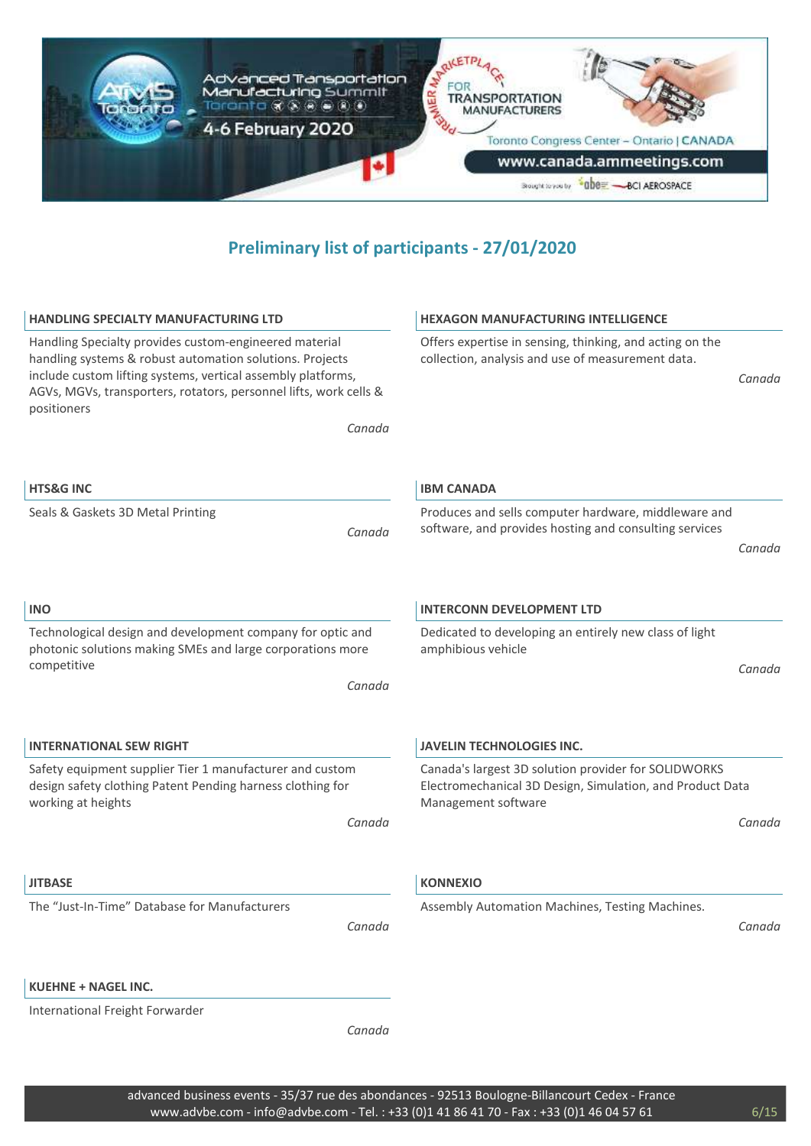

| <b>HANDLING SPECIALTY MANUFACTURING LTD</b>                                                                                                                                                                                                                            | <b>HEXAGON MANUFACTURING INTELLIGENCE</b>                                                                                                |
|------------------------------------------------------------------------------------------------------------------------------------------------------------------------------------------------------------------------------------------------------------------------|------------------------------------------------------------------------------------------------------------------------------------------|
| Handling Specialty provides custom-engineered material<br>handling systems & robust automation solutions. Projects<br>include custom lifting systems, vertical assembly platforms,<br>AGVs, MGVs, transporters, rotators, personnel lifts, work cells &<br>positioners | Offers expertise in sensing, thinking, and acting on the<br>collection, analysis and use of measurement data.<br>Canada                  |
| Canada                                                                                                                                                                                                                                                                 |                                                                                                                                          |
|                                                                                                                                                                                                                                                                        |                                                                                                                                          |
| <b>HTS&amp;G INC</b>                                                                                                                                                                                                                                                   | <b>IBM CANADA</b>                                                                                                                        |
| Seals & Gaskets 3D Metal Printing                                                                                                                                                                                                                                      | Produces and sells computer hardware, middleware and                                                                                     |
| Canada                                                                                                                                                                                                                                                                 | software, and provides hosting and consulting services                                                                                   |
|                                                                                                                                                                                                                                                                        | Canada                                                                                                                                   |
| <b>INO</b>                                                                                                                                                                                                                                                             | <b>INTERCONN DEVELOPMENT LTD</b>                                                                                                         |
|                                                                                                                                                                                                                                                                        |                                                                                                                                          |
| Technological design and development company for optic and<br>photonic solutions making SMEs and large corporations more                                                                                                                                               | Dedicated to developing an entirely new class of light<br>amphibious vehicle                                                             |
| competitive                                                                                                                                                                                                                                                            | Canada                                                                                                                                   |
| Canada                                                                                                                                                                                                                                                                 |                                                                                                                                          |
|                                                                                                                                                                                                                                                                        |                                                                                                                                          |
|                                                                                                                                                                                                                                                                        |                                                                                                                                          |
| <b>INTERNATIONAL SEW RIGHT</b>                                                                                                                                                                                                                                         | <b>JAVELIN TECHNOLOGIES INC.</b>                                                                                                         |
| Safety equipment supplier Tier 1 manufacturer and custom<br>design safety clothing Patent Pending harness clothing for<br>working at heights                                                                                                                           | Canada's largest 3D solution provider for SOLIDWORKS<br>Electromechanical 3D Design, Simulation, and Product Data<br>Management software |
| Canada                                                                                                                                                                                                                                                                 | Canada                                                                                                                                   |
|                                                                                                                                                                                                                                                                        |                                                                                                                                          |
| <b>JITBASE</b>                                                                                                                                                                                                                                                         | <b>KONNEXIO</b>                                                                                                                          |
| The "Just-In-Time" Database for Manufacturers                                                                                                                                                                                                                          | Assembly Automation Machines, Testing Machines.                                                                                          |
| Canada                                                                                                                                                                                                                                                                 | Canada                                                                                                                                   |
|                                                                                                                                                                                                                                                                        |                                                                                                                                          |
| <b>KUEHNE + NAGEL INC.</b>                                                                                                                                                                                                                                             |                                                                                                                                          |
| International Freight Forwarder                                                                                                                                                                                                                                        |                                                                                                                                          |
| Canada                                                                                                                                                                                                                                                                 |                                                                                                                                          |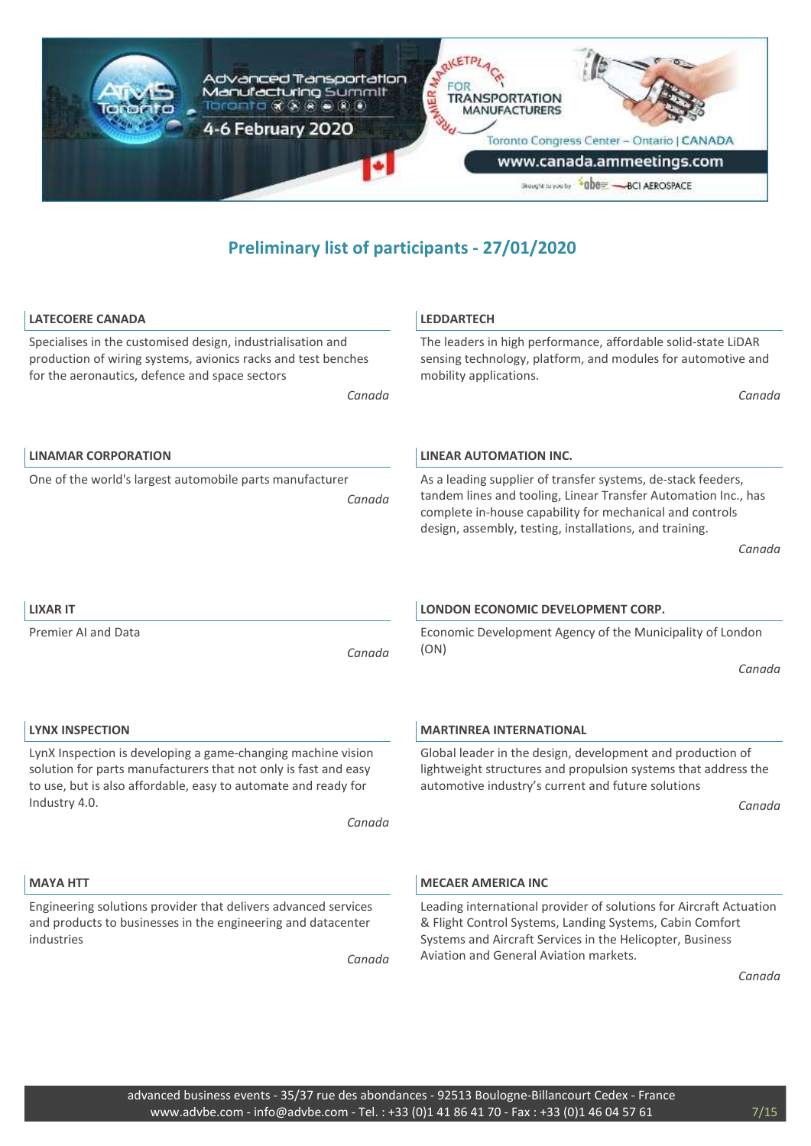

| <b>LATECOERE CANADA</b>                                                                                                                                                                                            | <b>LEDDARTECH</b>                                                                                                                                                                                                                                     |
|--------------------------------------------------------------------------------------------------------------------------------------------------------------------------------------------------------------------|-------------------------------------------------------------------------------------------------------------------------------------------------------------------------------------------------------------------------------------------------------|
| Specialises in the customised design, industrialisation and<br>production of wiring systems, avionics racks and test benches<br>for the aeronautics, defence and space sectors                                     | The leaders in high performance, affordable solid-state LiDAR<br>sensing technology, platform, and modules for automotive and<br>mobility applications.                                                                                               |
| Canada                                                                                                                                                                                                             | Canada                                                                                                                                                                                                                                                |
| <b>LINAMAR CORPORATION</b>                                                                                                                                                                                         | <b>LINEAR AUTOMATION INC.</b>                                                                                                                                                                                                                         |
| One of the world's largest automobile parts manufacturer<br>Canada                                                                                                                                                 | As a leading supplier of transfer systems, de-stack feeders,<br>tandem lines and tooling, Linear Transfer Automation Inc., has<br>complete in-house capability for mechanical and controls<br>design, assembly, testing, installations, and training. |
|                                                                                                                                                                                                                    | Canada                                                                                                                                                                                                                                                |
| <b>LIXAR IT</b>                                                                                                                                                                                                    | LONDON ECONOMIC DEVELOPMENT CORP.                                                                                                                                                                                                                     |
| <b>Premier AI and Data</b><br>Canada                                                                                                                                                                               | Economic Development Agency of the Municipality of London<br>(ON)<br>Canada                                                                                                                                                                           |
|                                                                                                                                                                                                                    |                                                                                                                                                                                                                                                       |
| <b>LYNX INSPECTION</b>                                                                                                                                                                                             | <b>MARTINREA INTERNATIONAL</b>                                                                                                                                                                                                                        |
| LynX Inspection is developing a game-changing machine vision<br>solution for parts manufacturers that not only is fast and easy<br>to use, but is also affordable, easy to automate and ready for<br>Industry 4.0. | Global leader in the design, development and production of<br>lightweight structures and propulsion systems that address the<br>automotive industry's current and future solutions<br>Canada                                                          |
| Canada                                                                                                                                                                                                             |                                                                                                                                                                                                                                                       |
| <b>MAYA HTT</b>                                                                                                                                                                                                    | <b>MECAER AMERICA INC</b>                                                                                                                                                                                                                             |
| Engineering solutions provider that delivers advanced services<br>and products to businesses in the engineering and datacenter<br>industries<br>Canada                                                             | Leading international provider of solutions for Aircraft Actuation<br>& Flight Control Systems, Landing Systems, Cabin Comfort<br>Systems and Aircraft Services in the Helicopter, Business<br>Aviation and General Aviation markets.<br>Canada       |
|                                                                                                                                                                                                                    |                                                                                                                                                                                                                                                       |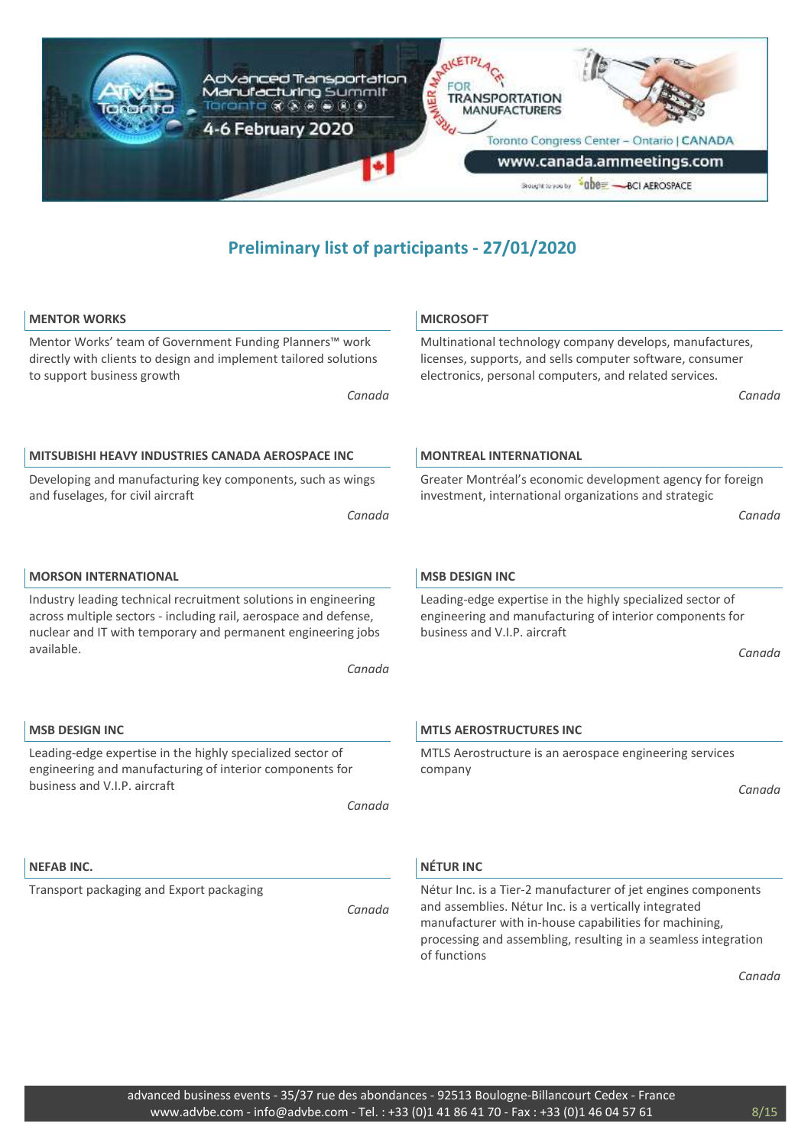

| <b>MENTOR WORKS</b>                                                                                                                                                                                 | <b>MICROSOFT</b>                                                                                                                                                                                                                                                   |
|-----------------------------------------------------------------------------------------------------------------------------------------------------------------------------------------------------|--------------------------------------------------------------------------------------------------------------------------------------------------------------------------------------------------------------------------------------------------------------------|
| Mentor Works' team of Government Funding Planners™ work<br>directly with clients to design and implement tailored solutions<br>to support business growth                                           | Multinational technology company develops, manufactures,<br>licenses, supports, and sells computer software, consumer<br>electronics, personal computers, and related services.                                                                                    |
| Canada                                                                                                                                                                                              | Canada                                                                                                                                                                                                                                                             |
| <b>MITSUBISHI HEAVY INDUSTRIES CANADA AEROSPACE INC</b>                                                                                                                                             | <b>MONTREAL INTERNATIONAL</b>                                                                                                                                                                                                                                      |
| Developing and manufacturing key components, such as wings<br>and fuselages, for civil aircraft<br>Canada                                                                                           | Greater Montréal's economic development agency for foreign<br>investment, international organizations and strategic<br>Canada                                                                                                                                      |
| <b>MORSON INTERNATIONAL</b>                                                                                                                                                                         | <b>MSB DESIGN INC</b>                                                                                                                                                                                                                                              |
| Industry leading technical recruitment solutions in engineering<br>across multiple sectors - including rail, aerospace and defense,<br>nuclear and IT with temporary and permanent engineering jobs | Leading-edge expertise in the highly specialized sector of<br>engineering and manufacturing of interior components for<br>business and V.I.P. aircraft                                                                                                             |
| available.<br>Canada                                                                                                                                                                                | Canada                                                                                                                                                                                                                                                             |
| <b>MSB DESIGN INC</b>                                                                                                                                                                               | <b>MTLS AEROSTRUCTURES INC</b>                                                                                                                                                                                                                                     |
| Leading-edge expertise in the highly specialized sector of<br>engineering and manufacturing of interior components for                                                                              | MTLS Aerostructure is an aerospace engineering services<br>company                                                                                                                                                                                                 |
| business and V.I.P. aircraft<br>Canada                                                                                                                                                              | Canada                                                                                                                                                                                                                                                             |
| <b>NEFAB INC.</b>                                                                                                                                                                                   | <b>NÉTUR INC</b>                                                                                                                                                                                                                                                   |
| Transport packaging and Export packaging<br>Canada                                                                                                                                                  | Nétur Inc. is a Tier-2 manufacturer of jet engines components<br>and assemblies. Nétur Inc. is a vertically integrated<br>manufacturer with in-house capabilities for machining,<br>processing and assembling, resulting in a seamless integration<br>of functions |
|                                                                                                                                                                                                     | Canada                                                                                                                                                                                                                                                             |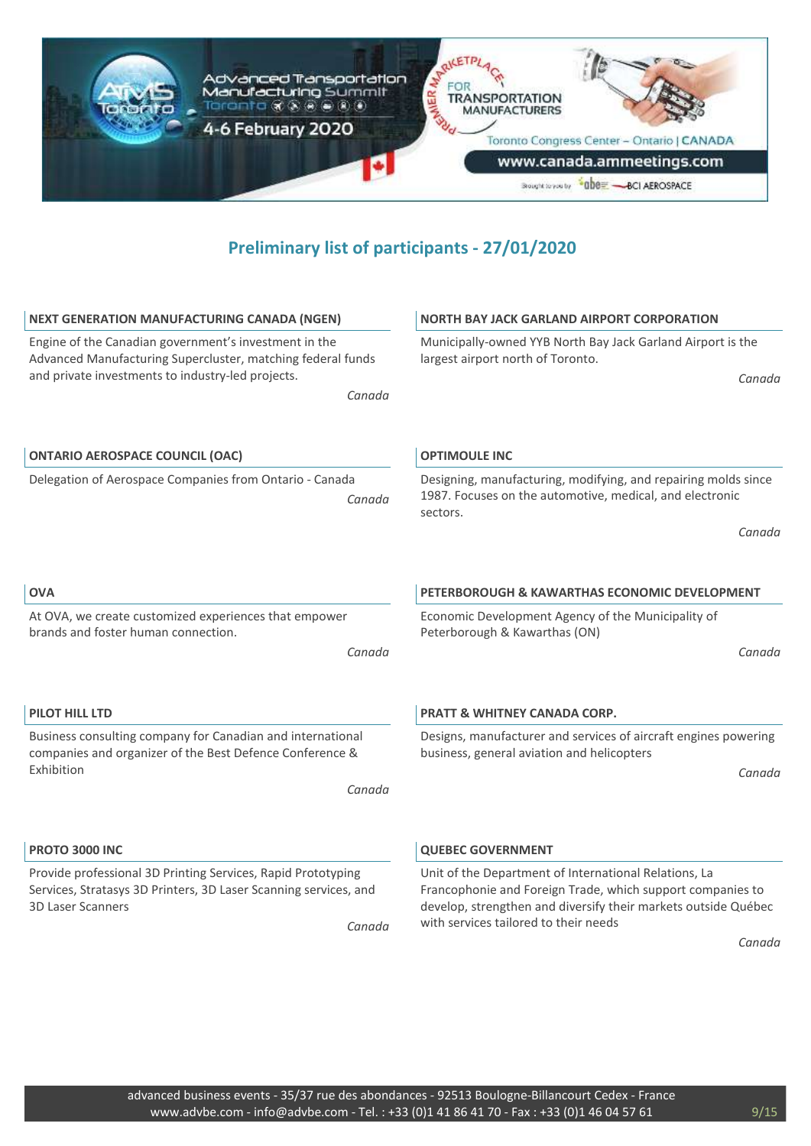

| <b>NEXT GENERATION MANUFACTURING CANADA (NGEN)</b>                                                                                                                                  | <b>NORTH BAY JACK GARLAND AIRPORT CORPORATION</b>                                                                                                                                                                              |
|-------------------------------------------------------------------------------------------------------------------------------------------------------------------------------------|--------------------------------------------------------------------------------------------------------------------------------------------------------------------------------------------------------------------------------|
| Engine of the Canadian government's investment in the<br>Advanced Manufacturing Supercluster, matching federal funds<br>and private investments to industry-led projects.<br>Canada | Municipally-owned YYB North Bay Jack Garland Airport is the<br>largest airport north of Toronto.<br>Canada                                                                                                                     |
| <b>ONTARIO AEROSPACE COUNCIL (OAC)</b>                                                                                                                                              | <b>OPTIMOULE INC</b>                                                                                                                                                                                                           |
| Delegation of Aerospace Companies from Ontario - Canada<br>Canada                                                                                                                   | Designing, manufacturing, modifying, and repairing molds since<br>1987. Focuses on the automotive, medical, and electronic<br>sectors.                                                                                         |
|                                                                                                                                                                                     | Canada                                                                                                                                                                                                                         |
| <b>OVA</b>                                                                                                                                                                          | <b>PETERBOROUGH &amp; KAWARTHAS ECONOMIC DEVELOPMENT</b>                                                                                                                                                                       |
| At OVA, we create customized experiences that empower<br>brands and foster human connection.                                                                                        | Economic Development Agency of the Municipality of<br>Peterborough & Kawarthas (ON)                                                                                                                                            |
| Canada                                                                                                                                                                              | Canada                                                                                                                                                                                                                         |
| <b>PILOT HILL LTD</b>                                                                                                                                                               | <b>PRATT &amp; WHITNEY CANADA CORP.</b>                                                                                                                                                                                        |
| Business consulting company for Canadian and international<br>companies and organizer of the Best Defence Conference &                                                              | Designs, manufacturer and services of aircraft engines powering<br>business, general aviation and helicopters                                                                                                                  |
| Exhibition<br>Canada                                                                                                                                                                | Canada                                                                                                                                                                                                                         |
| <b>PROTO 3000 INC</b>                                                                                                                                                               | <b>QUEBEC GOVERNMENT</b>                                                                                                                                                                                                       |
| Provide professional 3D Printing Services, Rapid Prototyping<br>Services, Stratasys 3D Printers, 3D Laser Scanning services, and<br><b>3D Laser Scanners</b><br>Canada              | Unit of the Department of International Relations, La<br>Francophonie and Foreign Trade, which support companies to<br>develop, strengthen and diversify their markets outside Québec<br>with services tailored to their needs |
|                                                                                                                                                                                     | Canada                                                                                                                                                                                                                         |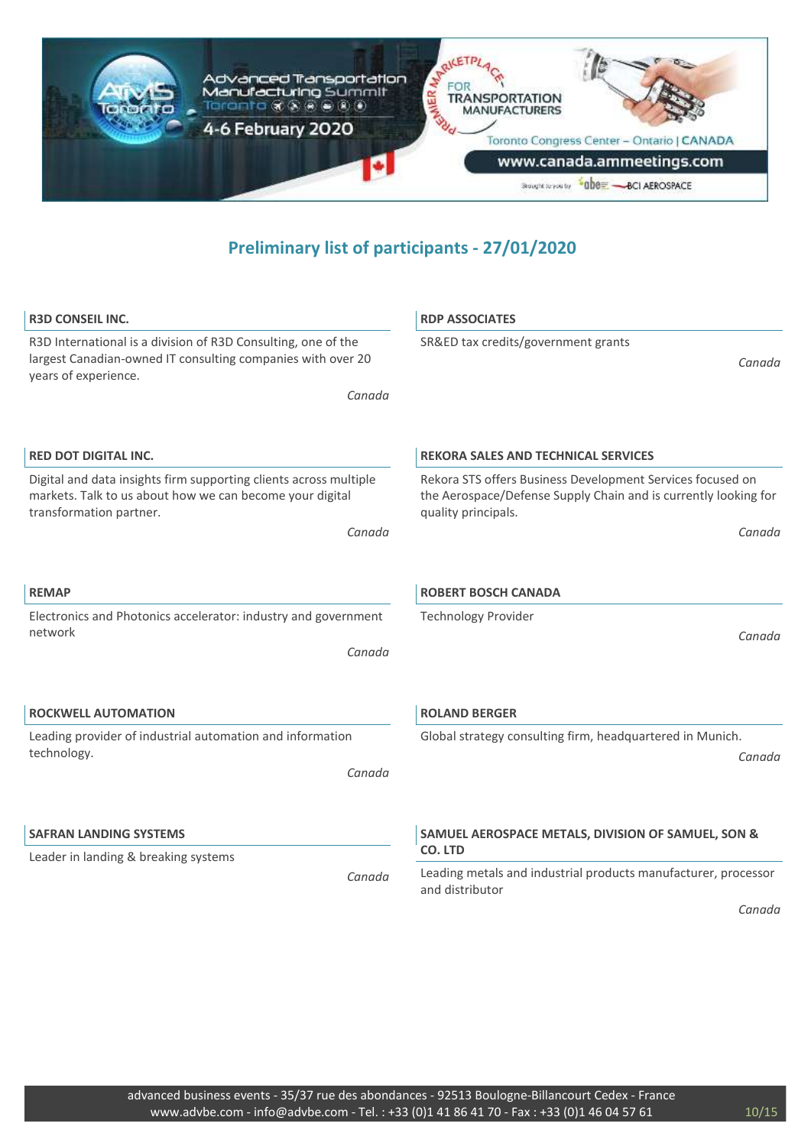

| <b>R3D CONSEIL INC.</b>                                                                                                                                        | <b>RDP ASSOCIATES</b>                                                                                                                                |
|----------------------------------------------------------------------------------------------------------------------------------------------------------------|------------------------------------------------------------------------------------------------------------------------------------------------------|
| R3D International is a division of R3D Consulting, one of the<br>largest Canadian-owned IT consulting companies with over 20<br>years of experience.<br>Canada | SR&ED tax credits/government grants<br>Canada                                                                                                        |
|                                                                                                                                                                |                                                                                                                                                      |
| <b>RED DOT DIGITAL INC.</b>                                                                                                                                    | <b>REKORA SALES AND TECHNICAL SERVICES</b>                                                                                                           |
| Digital and data insights firm supporting clients across multiple<br>markets. Talk to us about how we can become your digital<br>transformation partner.       | Rekora STS offers Business Development Services focused on<br>the Aerospace/Defense Supply Chain and is currently looking for<br>quality principals. |
| Canada                                                                                                                                                         | Canada                                                                                                                                               |
|                                                                                                                                                                |                                                                                                                                                      |
| <b>REMAP</b>                                                                                                                                                   | <b>ROBERT BOSCH CANADA</b>                                                                                                                           |
| Electronics and Photonics accelerator: industry and government                                                                                                 | <b>Technology Provider</b>                                                                                                                           |
| network<br>Canada                                                                                                                                              | Canada                                                                                                                                               |
| <b>ROCKWELL AUTOMATION</b>                                                                                                                                     | <b>ROLAND BERGER</b>                                                                                                                                 |
| Leading provider of industrial automation and information                                                                                                      | Global strategy consulting firm, headquartered in Munich.                                                                                            |
| technology.<br>Canada                                                                                                                                          | Canada                                                                                                                                               |
| <b>SAFRAN LANDING SYSTEMS</b>                                                                                                                                  | SAMUEL AEROSPACE METALS, DIVISION OF SAMUEL, SON &                                                                                                   |
| Leader in landing & breaking systems                                                                                                                           | CO. LTD                                                                                                                                              |
| Canada                                                                                                                                                         | Leading metals and industrial products manufacturer, processor<br>and distributor                                                                    |
|                                                                                                                                                                | Canada                                                                                                                                               |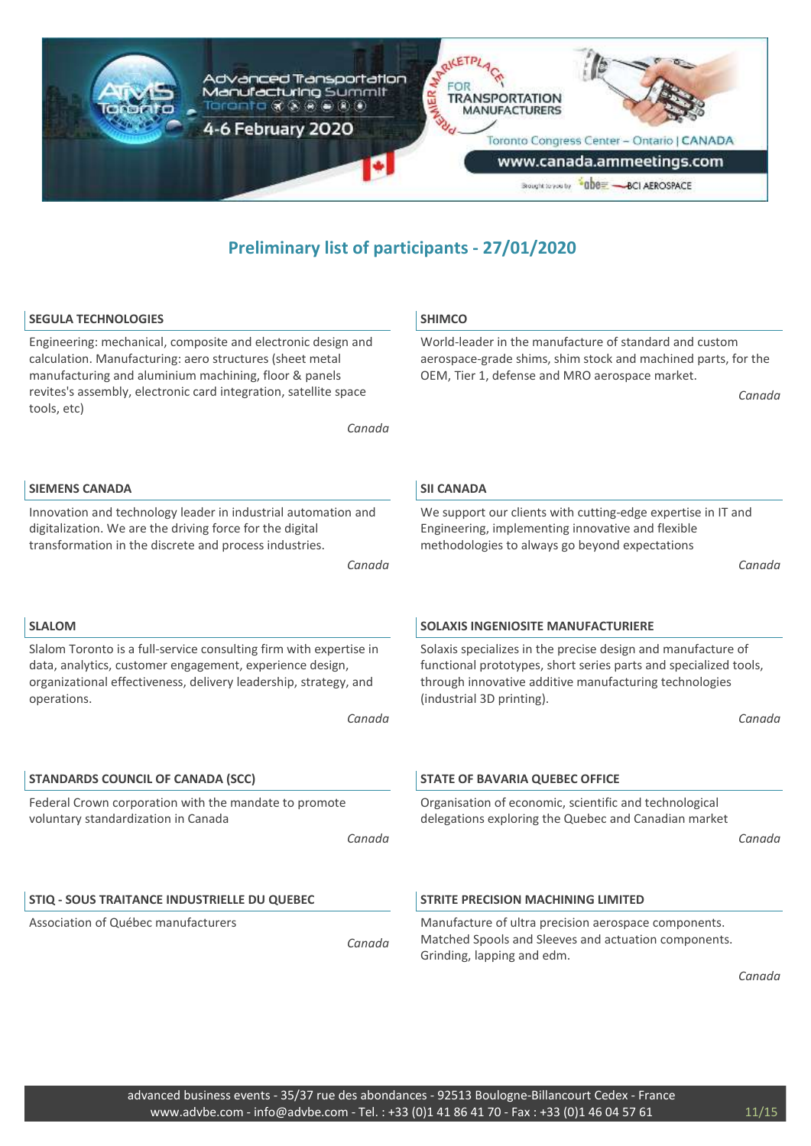

| <b>SEGULA TECHNOLOGIES</b>                                                                                                                                                                                                                                                     | <b>SHIMCO</b>                                                                                                                                                                                                           |
|--------------------------------------------------------------------------------------------------------------------------------------------------------------------------------------------------------------------------------------------------------------------------------|-------------------------------------------------------------------------------------------------------------------------------------------------------------------------------------------------------------------------|
| Engineering: mechanical, composite and electronic design and<br>calculation. Manufacturing: aero structures (sheet metal<br>manufacturing and aluminium machining, floor & panels<br>revites's assembly, electronic card integration, satellite space<br>tools, etc)<br>Canada | World-leader in the manufacture of standard and custom<br>aerospace-grade shims, shim stock and machined parts, for the<br>OEM, Tier 1, defense and MRO aerospace market.<br>Canada                                     |
| <b>SIEMENS CANADA</b>                                                                                                                                                                                                                                                          | <b>SII CANADA</b>                                                                                                                                                                                                       |
| Innovation and technology leader in industrial automation and<br>digitalization. We are the driving force for the digital<br>transformation in the discrete and process industries.<br>Canada                                                                                  | We support our clients with cutting-edge expertise in IT and<br>Engineering, implementing innovative and flexible<br>methodologies to always go beyond expectations<br>Canada                                           |
|                                                                                                                                                                                                                                                                                |                                                                                                                                                                                                                         |
| <b>SLALOM</b>                                                                                                                                                                                                                                                                  | <b>SOLAXIS INGENIOSITE MANUFACTURIERE</b>                                                                                                                                                                               |
| Slalom Toronto is a full-service consulting firm with expertise in<br>data, analytics, customer engagement, experience design,<br>organizational effectiveness, delivery leadership, strategy, and<br>operations.                                                              | Solaxis specializes in the precise design and manufacture of<br>functional prototypes, short series parts and specialized tools,<br>through innovative additive manufacturing technologies<br>(industrial 3D printing). |
| Canada                                                                                                                                                                                                                                                                         | Canada                                                                                                                                                                                                                  |
| <b>STANDARDS COUNCIL OF CANADA (SCC)</b>                                                                                                                                                                                                                                       | <b>STATE OF BAVARIA QUEBEC OFFICE</b>                                                                                                                                                                                   |
| Federal Crown corporation with the mandate to promote<br>voluntary standardization in Canada<br>Canada                                                                                                                                                                         | Organisation of economic, scientific and technological<br>delegations exploring the Quebec and Canadian market<br>Canada                                                                                                |
| STIQ - SOUS TRAITANCE INDUSTRIELLE DU QUEBEC                                                                                                                                                                                                                                   | <b>STRITE PRECISION MACHINING LIMITED</b>                                                                                                                                                                               |
| Association of Québec manufacturers<br>Canada                                                                                                                                                                                                                                  | Manufacture of ultra precision aerospace components.<br>Matched Spools and Sleeves and actuation components.<br>Grinding, lapping and edm.                                                                              |

*Canada*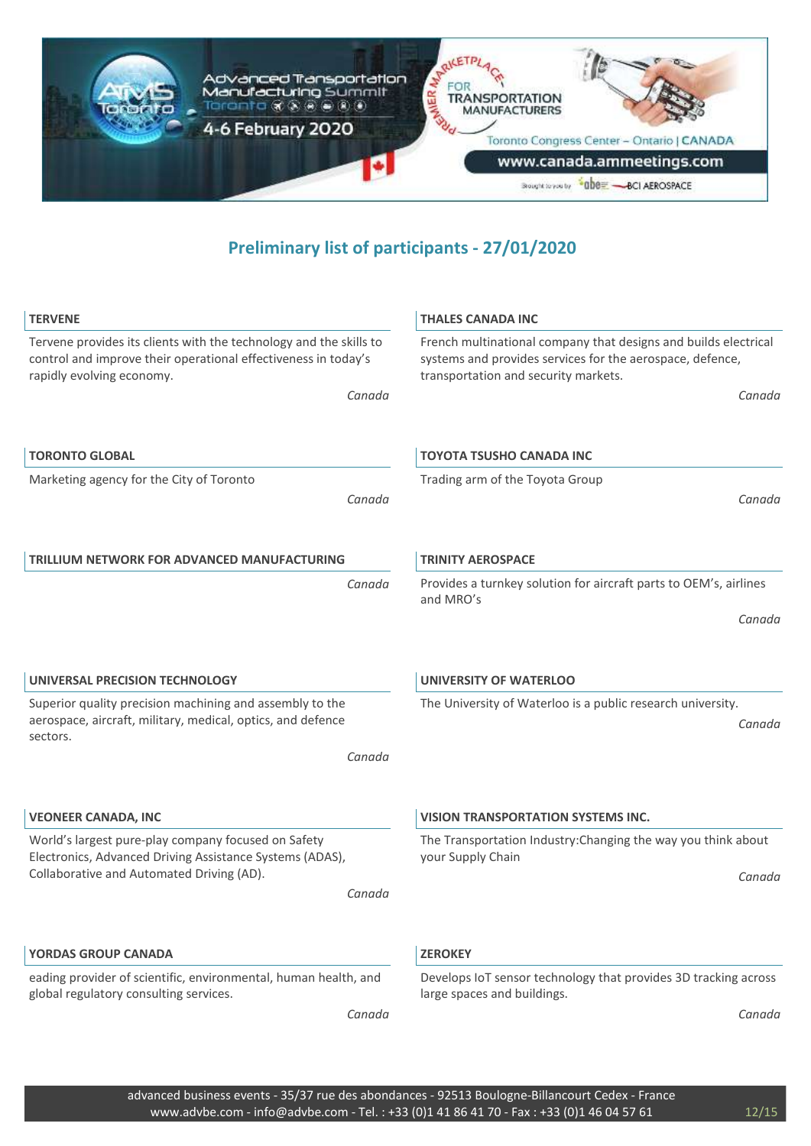

| <b>TERVENE</b>                                                                                                                                                    | <b>THALES CANADA INC</b>                                                                                                                                             |
|-------------------------------------------------------------------------------------------------------------------------------------------------------------------|----------------------------------------------------------------------------------------------------------------------------------------------------------------------|
| Tervene provides its clients with the technology and the skills to<br>control and improve their operational effectiveness in today's<br>rapidly evolving economy. | French multinational company that designs and builds electrical<br>systems and provides services for the aerospace, defence,<br>transportation and security markets. |
| Canada                                                                                                                                                            | Canada                                                                                                                                                               |
| <b>TORONTO GLOBAL</b>                                                                                                                                             | <b>TOYOTA TSUSHO CANADA INC</b>                                                                                                                                      |
| Marketing agency for the City of Toronto<br>Canada                                                                                                                | Trading arm of the Toyota Group<br>Canada                                                                                                                            |
| <b>TRILLIUM NETWORK FOR ADVANCED MANUFACTURING</b>                                                                                                                | <b>TRINITY AEROSPACE</b>                                                                                                                                             |
| Canada                                                                                                                                                            | Provides a turnkey solution for aircraft parts to OEM's, airlines<br>and MRO's                                                                                       |
|                                                                                                                                                                   | Canada                                                                                                                                                               |
| UNIVERSAL PRECISION TECHNOLOGY                                                                                                                                    | <b>UNIVERSITY OF WATERLOO</b>                                                                                                                                        |
| Superior quality precision machining and assembly to the<br>aerospace, aircraft, military, medical, optics, and defence<br>sectors.                               | The University of Waterloo is a public research university.<br>Canada                                                                                                |
| Canada                                                                                                                                                            |                                                                                                                                                                      |
| <b>VEONEER CANADA, INC</b>                                                                                                                                        | <b>VISION TRANSPORTATION SYSTEMS INC.</b>                                                                                                                            |
| World's largest pure-play company focused on Safety<br>Electronics, Advanced Driving Assistance Systems (ADAS),                                                   | The Transportation Industry: Changing the way you think about<br>your Supply Chain                                                                                   |
| Collaborative and Automated Driving (AD).<br>Canada                                                                                                               | Canada                                                                                                                                                               |
| <b>YORDAS GROUP CANADA</b>                                                                                                                                        | <b>ZEROKEY</b>                                                                                                                                                       |
| eading provider of scientific, environmental, human health, and<br>global regulatory consulting services.                                                         | Develops IoT sensor technology that provides 3D tracking across<br>large spaces and buildings.                                                                       |
| Canada                                                                                                                                                            | Canada                                                                                                                                                               |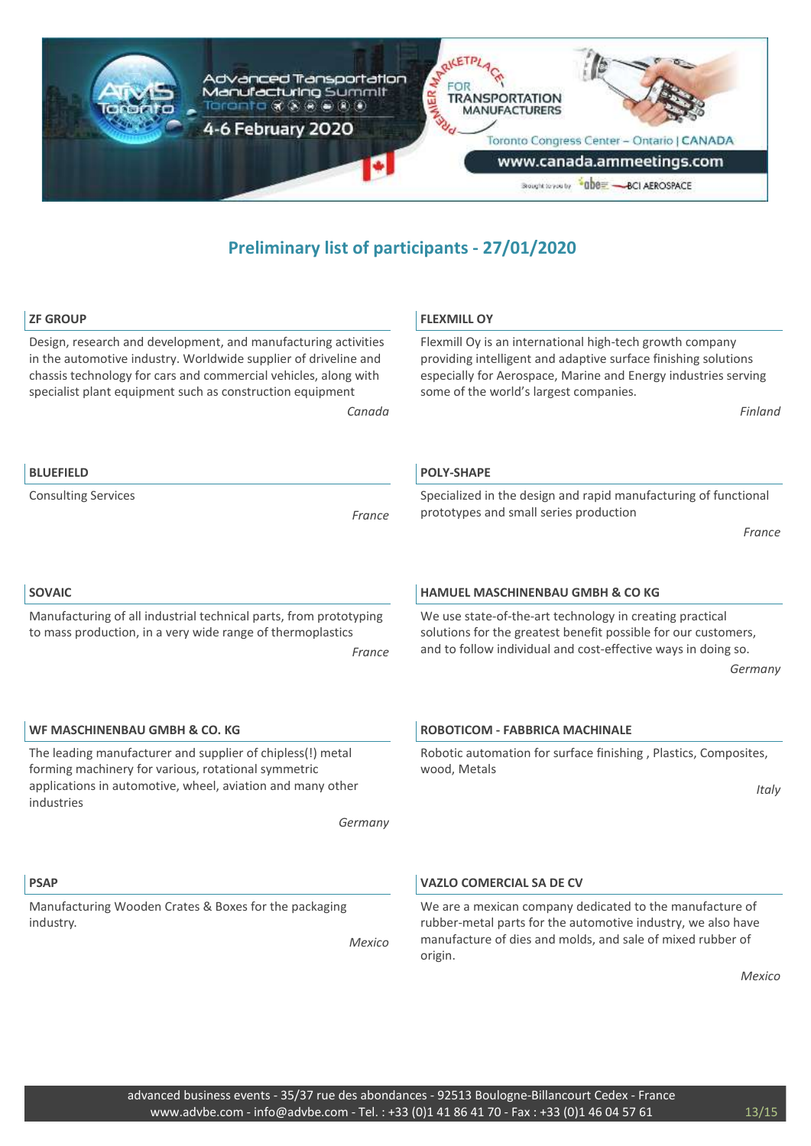

| <b>ZF GROUP</b>                                                                                                                                                                                                                                                   | <b>FLEXMILL OY</b>                                                                                                                                                                                                                     |
|-------------------------------------------------------------------------------------------------------------------------------------------------------------------------------------------------------------------------------------------------------------------|----------------------------------------------------------------------------------------------------------------------------------------------------------------------------------------------------------------------------------------|
| Design, research and development, and manufacturing activities<br>in the automotive industry. Worldwide supplier of driveline and<br>chassis technology for cars and commercial vehicles, along with<br>specialist plant equipment such as construction equipment | Flexmill Oy is an international high-tech growth company<br>providing intelligent and adaptive surface finishing solutions<br>especially for Aerospace, Marine and Energy industries serving<br>some of the world's largest companies. |
| Canada                                                                                                                                                                                                                                                            | Finland                                                                                                                                                                                                                                |
| <b>BLUEFIELD</b>                                                                                                                                                                                                                                                  | <b>POLY-SHAPE</b>                                                                                                                                                                                                                      |
| <b>Consulting Services</b><br>France                                                                                                                                                                                                                              | Specialized in the design and rapid manufacturing of functional<br>prototypes and small series production                                                                                                                              |
|                                                                                                                                                                                                                                                                   | France                                                                                                                                                                                                                                 |
| <b>SOVAIC</b>                                                                                                                                                                                                                                                     | <b>HAMUEL MASCHINENBAU GMBH &amp; CO KG</b>                                                                                                                                                                                            |
| Manufacturing of all industrial technical parts, from prototyping<br>to mass production, in a very wide range of thermoplastics<br>France                                                                                                                         | We use state-of-the-art technology in creating practical<br>solutions for the greatest benefit possible for our customers,<br>and to follow individual and cost-effective ways in doing so.<br>Germany                                 |
| WF MASCHINENBAU GMBH & CO. KG                                                                                                                                                                                                                                     | <b>ROBOTICOM - FABBRICA MACHINALE</b>                                                                                                                                                                                                  |
| The leading manufacturer and supplier of chipless(!) metal<br>forming machinery for various, rotational symmetric<br>applications in automotive, wheel, aviation and many other                                                                                   | Robotic automation for surface finishing, Plastics, Composites,<br>wood, Metals<br>Italy                                                                                                                                               |
| industries<br>Germany                                                                                                                                                                                                                                             |                                                                                                                                                                                                                                        |
|                                                                                                                                                                                                                                                                   |                                                                                                                                                                                                                                        |
| <b>PSAP</b>                                                                                                                                                                                                                                                       | <b>VAZLO COMERCIAL SA DE CV</b>                                                                                                                                                                                                        |
| Manufacturing Wooden Crates & Boxes for the packaging<br>industry.<br>Mexico                                                                                                                                                                                      | We are a mexican company dedicated to the manufacture of<br>rubber-metal parts for the automotive industry, we also have<br>manufacture of dies and molds, and sale of mixed rubber of<br>origin.                                      |

*Mexico*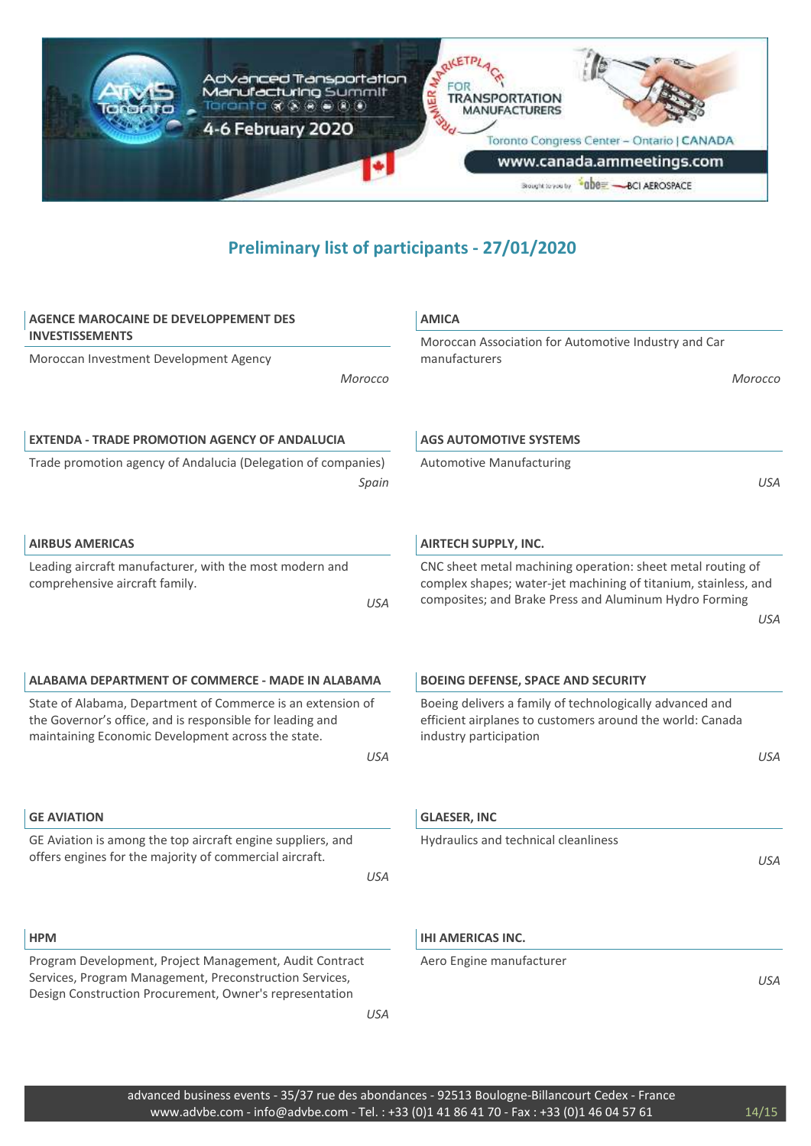

| <b>AGENCE MAROCAINE DE DEVELOPPEMENT DES</b>                                                                                                                                   | <b>AMICA</b>                                                                                                                                    |
|--------------------------------------------------------------------------------------------------------------------------------------------------------------------------------|-------------------------------------------------------------------------------------------------------------------------------------------------|
| <b>INVESTISSEMENTS</b>                                                                                                                                                         | Moroccan Association for Automotive Industry and Car                                                                                            |
| Moroccan Investment Development Agency                                                                                                                                         | manufacturers                                                                                                                                   |
| Morocco                                                                                                                                                                        | Morocco                                                                                                                                         |
|                                                                                                                                                                                |                                                                                                                                                 |
| <b>EXTENDA - TRADE PROMOTION AGENCY OF ANDALUCIA</b>                                                                                                                           | <b>AGS AUTOMOTIVE SYSTEMS</b>                                                                                                                   |
| Trade promotion agency of Andalucia (Delegation of companies)                                                                                                                  | <b>Automotive Manufacturing</b>                                                                                                                 |
| Spain                                                                                                                                                                          | <b>USA</b>                                                                                                                                      |
| <b>AIRBUS AMERICAS</b>                                                                                                                                                         | <b>AIRTECH SUPPLY, INC.</b>                                                                                                                     |
| Leading aircraft manufacturer, with the most modern and                                                                                                                        | CNC sheet metal machining operation: sheet metal routing of                                                                                     |
| comprehensive aircraft family.<br><b>USA</b>                                                                                                                                   | complex shapes; water-jet machining of titanium, stainless, and<br>composites; and Brake Press and Aluminum Hydro Forming                       |
|                                                                                                                                                                                | <b>USA</b>                                                                                                                                      |
|                                                                                                                                                                                |                                                                                                                                                 |
|                                                                                                                                                                                |                                                                                                                                                 |
| ALABAMA DEPARTMENT OF COMMERCE - MADE IN ALABAMA                                                                                                                               | <b>BOEING DEFENSE, SPACE AND SECURITY</b>                                                                                                       |
| State of Alabama, Department of Commerce is an extension of<br>the Governor's office, and is responsible for leading and<br>maintaining Economic Development across the state. | Boeing delivers a family of technologically advanced and<br>efficient airplanes to customers around the world: Canada<br>industry participation |
| <b>USA</b>                                                                                                                                                                     | <b>USA</b>                                                                                                                                      |
|                                                                                                                                                                                |                                                                                                                                                 |
| <b>GE AVIATION</b>                                                                                                                                                             | <b>GLAESER, INC</b>                                                                                                                             |
| GE Aviation is among the top aircraft engine suppliers, and                                                                                                                    | Hydraulics and technical cleanliness                                                                                                            |
| offers engines for the majority of commercial aircraft.                                                                                                                        | <b>USA</b>                                                                                                                                      |
| <b>USA</b>                                                                                                                                                                     |                                                                                                                                                 |
|                                                                                                                                                                                |                                                                                                                                                 |
| <b>HPM</b>                                                                                                                                                                     | <b>IHI AMERICAS INC.</b>                                                                                                                        |
| Program Development, Project Management, Audit Contract                                                                                                                        | Aero Engine manufacturer                                                                                                                        |
| Services, Program Management, Preconstruction Services,<br>Design Construction Procurement, Owner's representation                                                             | <b>USA</b>                                                                                                                                      |
| <b>USA</b>                                                                                                                                                                     |                                                                                                                                                 |